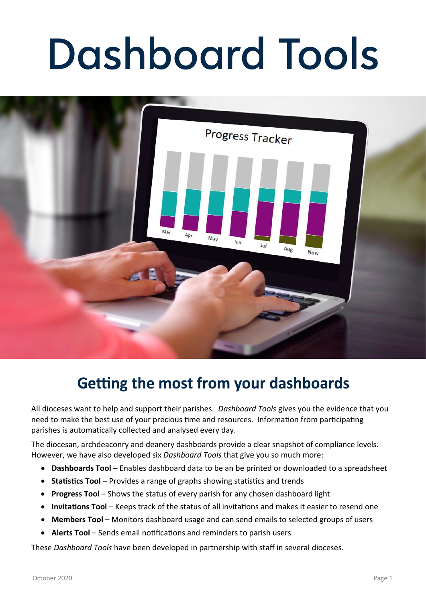# Dashboard Tools



#### Getting the most from your dashboards

All dioceses want to help and support their parishes. *Dashboard Tools* gives you the evidence that you need to make the best use of your precious time and resources. Information from participating parishes is automatically collected and analysed every day.

The diocesan, archdeaconry and deanery dashboards provide a clear snapshot of compliance levels. However, we have also developed six *Dashboard Tools* that give you so much more:

- **Dashboards Tool** Enables dashboard data to be an be printed or downloaded to a spreadsheet
- **Statistics Tool** Provides a range of graphs showing statistics and trends
- **Progress Tool** Shows the status of every parish for any chosen dashboard light
- **Invitations Tool** Keeps track of the status of all invitations and makes it easier to resend one
- **Members Tool** Monitors dashboard usage and can send emails to selected groups of users
- **Alerts Tool** Sends email notifications and reminders to parish users

These *Dashboard Tools* have been developed in partnership with staff in several dioceses.